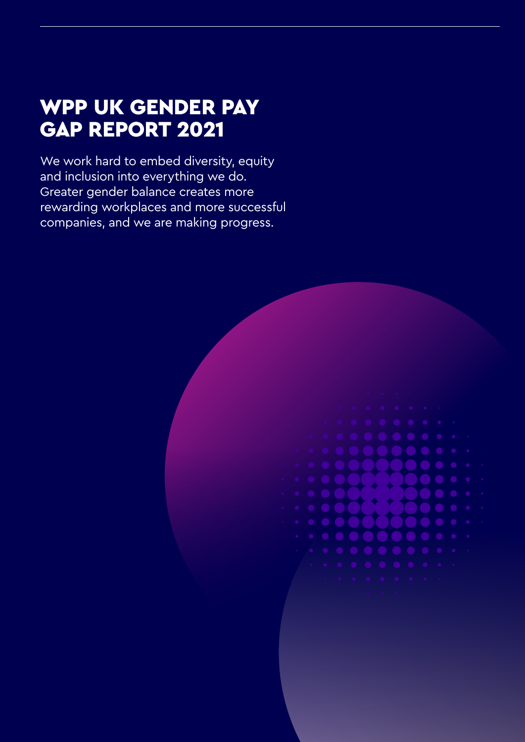## WPP UK GENDER PAY GAP REPORT 2021

We work hard to embed diversity, equity and inclusion into everything we do. Greater gender balance creates more rewarding workplaces and more successful companies, and we are making progress.

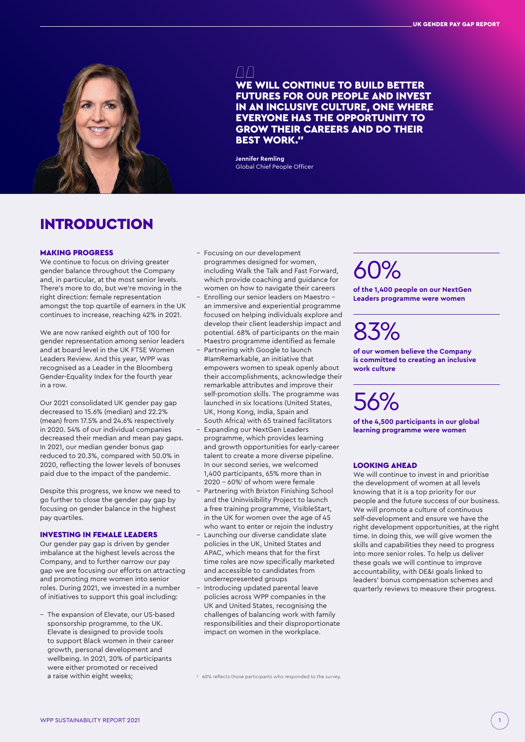

ЛΠ WE WILL CONTINUE TO BUILD BETTER FUTURES FOR OUR PEOPLE AND INVEST IN AN INCLUSIVE CULTURE, ONE WHERE EVERYONE HAS THE OPPORTUNITY TO GROW THEIR CAREERS AND DO THEIR BEST WORK."

**Jennifer Remling** Global Chief People Officer

### INTRODUCTION

### MAKING PROGRESS

We continue to focus on driving greater gender balance throughout the Company and, in particular, at the most senior levels. There's more to do, but we're moving in the right direction: female representation amongst the top quartile of earners in the UK continues to increase, reaching 42% in 2021.

We are now ranked eighth out of 100 for gender representation among senior leaders and at board level in the UK FTSE Women Leaders Review. And this year, WPP was recognised as a Leader in the Bloomberg Gender-Equality Index for the fourth year in a row.

Our 2021 consolidated UK gender pay gap decreased to 15.6% (median) and 22.2% (mean) from 17.5% and 24.6% respectively in 2020. 54% of our individual companies decreased their median and mean pay gaps. In 2021, our median gender bonus gap reduced to 20.3%, compared with 50.0% in 2020, reflecting the lower levels of bonuses paid due to the impact of the pandemic.

Despite this progress, we know we need to go further to close the gender pay gap by focusing on gender balance in the highest pay quartiles.

#### INVESTING IN FEMALE LEADERS

Our gender pay gap is driven by gender imbalance at the highest levels across the Company, and to further narrow our pay gap we are focusing our efforts on attracting and promoting more women into senior roles. During 2021, we invested in a number of initiatives to support this goal including:

– The expansion of Elevate, our US-based sponsorship programme, to the UK. Elevate is designed to provide tools to support Black women in their career growth, personal development and wellbeing. In 2021, 20% of participants were either promoted or received a raise within eight weeks;

- Focusing on our development programmes designed for women, including Walk the Talk and Fast Forward, which provide coaching and guidance for women on how to navigate their careers
- Enrolling our senior leaders on Maestro an immersive and experiential programme focused on helping individuals explore and develop their client leadership impact and potential. 68% of participants on the main Maestro programme identified as female
- Partnering with Google to launch #IamRemarkable, an initiative that empowers women to speak openly about their accomplishments, acknowledge their remarkable attributes and improve their self-promotion skills. The programme was launched in six locations (United States, UK, Hong Kong, India, Spain and South Africa) with 65 trained facilitators
- Expanding our NextGen Leaders programme, which provides learning and growth opportunities for early-career talent to create a more diverse pipeline. In our second series, we welcomed 1,400 participants, 65% more than in 2020 – 60%1 of whom were female
- Partnering with Brixton Finishing School and the Uninvisibility Project to launch a free training programme, VisibleStart, in the UK for women over the age of 45 who want to enter or rejoin the industry
- Launching our diverse candidate slate policies in the UK, United States and APAC, which means that for the first time roles are now specifically marketed and accessible to candidates from underrepresented groups
- Introducing updated parental leave policies across WPP companies in the UK and United States, recognising the challenges of balancing work with family responsibilities and their disproportionate impact on women in the workplace.

# 60%

**of the 1,400 people on our NextGen Leaders programme were women**

# 83%

**of our women believe the Company is committed to creating an inclusive work culture**

# 56%

**of the 4,500 participants in our global learning programme were women**

#### LOOKING AHEAD

We will continue to invest in and prioritise the development of women at all levels knowing that it is a top priority for our people and the future success of our business. We will promote a culture of continuous self-development and ensure we have the right development opportunities, at the right time. In doing this, we will give women the skills and capabilities they need to progress into more senior roles. To help us deliver these goals we will continue to improve accountability, with DE&I goals linked to leaders' bonus compensation schemes and quarterly reviews to measure their progress.

<sup>1</sup> 60% reflects those participants who responded to the survey.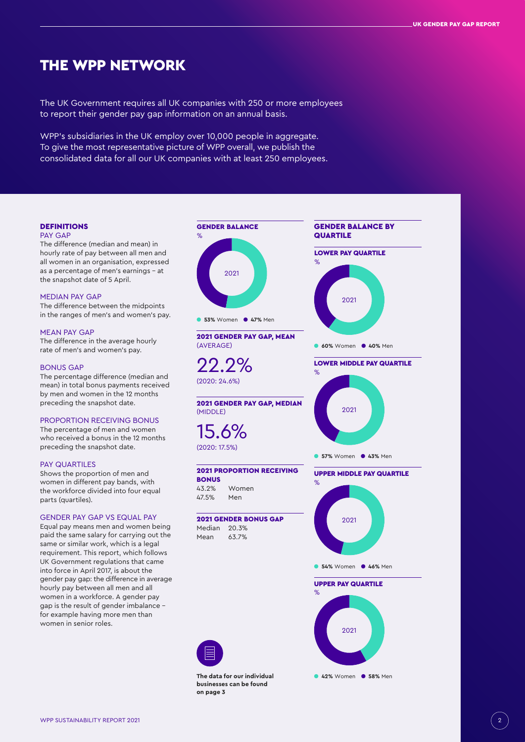### THE WPP NETWORK

The UK Government requires all UK companies with 250 or more employees to report their gender pay gap information on an annual basis.

WPP's subsidiaries in the UK employ over 10,000 people in aggregate. To give the most representative picture of WPP overall, we publish the consolidated data for all our UK companies with at least 250 employees.



**The data for our individual businesses can be found on page 3**